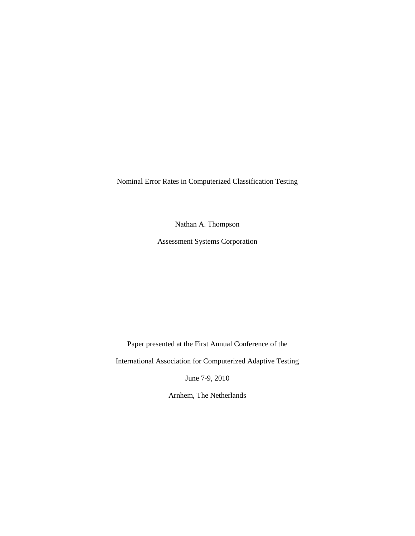Nominal Error Rates in Computerized Classification Testing

Nathan A. Thompson

Assessment Systems Corporation

Paper presented at the First Annual Conference of the

International Association for Computerized Adaptive Testing

June 7-9, 2010

Arnhem, The Netherlands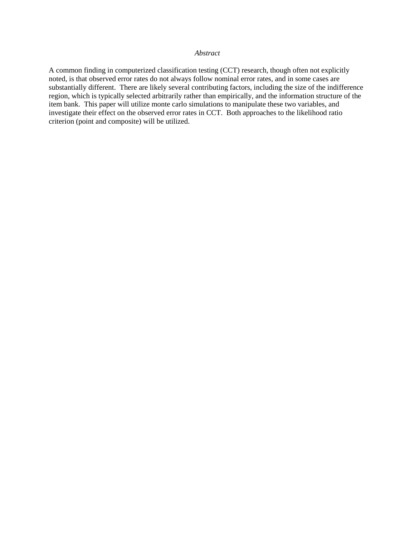# *Abstract*

A common finding in computerized classification testing (CCT) research, though often not explicitly noted, is that observed error rates do not always follow nominal error rates, and in some cases are substantially different. There are likely several contributing factors, including the size of the indifference region, which is typically selected arbitrarily rather than empirically, and the information structure of the item bank. This paper will utilize monte carlo simulations to manipulate these two variables, and investigate their effect on the observed error rates in CCT. Both approaches to the likelihood ratio criterion (point and composite) will be utilized.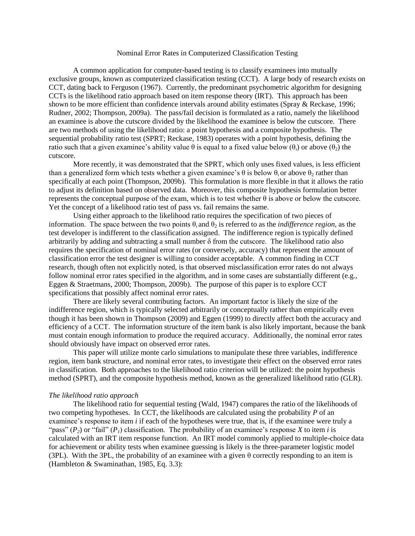### Nominal Error Rates in Computerized Classification Testing

A common application for computer-based testing is to classify examinees into mutually exclusive groups, known as computerized classification testing (CCT). A large body of research exists on CCT, dating back to Ferguson (1967). Currently, the predominant psychometric algorithm for designing CCTs is the likelihood ratio approach based on item response theory (IRT). This approach has been shown to be more efficient than confidence intervals around ability estimates (Spray & Reckase, 1996; Rudner, 2002; Thompson, 2009a). The pass/fail decision is formulated as a ratio, namely the likelihood an examinee is above the cutscore divided by the likelihood the examinee is below the cutscore. There are two methods of using the likelihood ratio: a point hypothesis and a composite hypothesis. The sequential probability ratio test (SPRT; Reckase, 1983) operates with a point hypothesis, defining the ratio such that a given examinee's ability value θ is equal to a fixed value below (θ<sub>1</sub>) or above (θ<sub>2</sub>) the cutscore.

More recently, it was demonstrated that the SPRT, which only uses fixed values, is less efficient than a generalized form which tests whether a given examinee's  $\theta$  is below  $\theta$ , or above  $\theta_2$  rather than specifically at each point (Thompson, 2009b). This formulation is more flexible in that it allows the ratio to adjust its definition based on observed data. Moreover, this composite hypothesis formulation better represents the conceptual purpose of the exam, which is to test whether  $\theta$  is above or below the cutscore. Yet the concept of a likelihood ratio test of pass vs. fail remains the same.

Using either approach to the likelihood ratio requires the specification of two pieces of information. The space between the two points  $\theta_1$  and  $\theta_2$  is referred to as the *indifference region*, as the test developer is indifferent to the classification assigned. The indifference region is typically defined arbitrarily by adding and subtracting a small number  $\delta$  from the cutscore. The likelihood ratio also requires the specification of nominal error rates (or conversely, accuracy) that represent the amount of classification error the test designer is willing to consider acceptable. A common finding in CCT research, though often not explicitly noted, is that observed misclassification error rates do not always follow nominal error rates specified in the algorithm, and in some cases are substantially different (e.g., Eggen & Straetmans, 2000; Thompson, 2009b). The purpose of this paper is to explore CCT specifications that possibly affect nominal error rates.

There are likely several contributing factors. An important factor is likely the size of the indifference region, which is typically selected arbitrarily or conceptually rather than empirically even though it has been shown in Thompson (2009) and Eggen (1999) to directly affect both the accuracy and efficiency of a CCT. The information structure of the item bank is also likely important, because the bank must contain enough information to produce the required accuracy. Additionally, the nominal error rates should obviously have impact on observed error rates.

This paper will utilize monte carlo simulations to manipulate these three variables, indifference region, item bank structure, and nominal error rates, to investigate their effect on the observed error rates in classification. Both approaches to the likelihood ratio criterion will be utilized: the point hypothesis method (SPRT), and the composite hypothesis method, known as the generalized likelihood ratio (GLR).

#### *The likelihood ratio approach*

The likelihood ratio for sequential testing (Wald, 1947) compares the ratio of the likelihoods of two competing hypotheses. In CCT, the likelihoods are calculated using the probability *P* of an examinee's response to item *i* if each of the hypotheses were true, that is, if the examinee were truly a "pass"  $(P_2)$  or "fail"  $(P_1)$  classification. The probability of an examinee's response *X* to item *i* is calculated with an IRT item response function. An IRT model commonly applied to multiple-choice data for achievement or ability tests when examinee guessing is likely is the three-parameter logistic model (3PL). With the 3PL, the probability of an examinee with a given  $\theta$  correctly responding to an item is (Hambleton & Swaminathan, 1985, Eq. 3.3):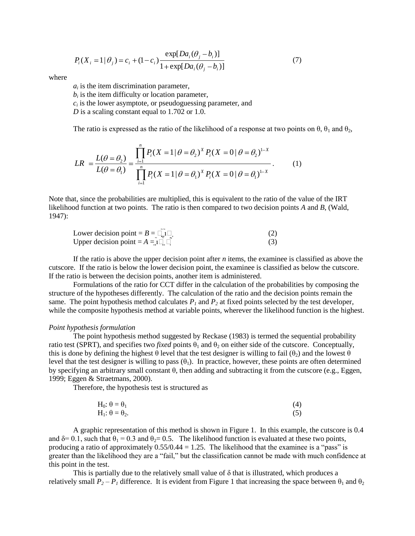$$
P_i(X_i = 1 | \theta_j) = c_i + (1 - c_i) \frac{\exp[Da_i(\theta_j - b_i)]}{1 + \exp[Da_i(\theta_j - b_i)]}
$$
(7)

where

 $a_i$  is the item discrimination parameter,

 $b_i$  is the item difficulty or location parameter,

 $c_i$  is the lower asymptote, or pseudoguessing parameter, and

*D* is a scaling constant equal to 1.702 or 1.0.

The ratio is expressed as the ratio of the likelihood of a response at two points on 
$$
\theta
$$
,  $\theta_1$  and  $\theta_2$ ,  
\n
$$
LR = \frac{L(\theta = \theta_2)}{L(\theta = \theta_1)} = \frac{\prod_{i=1}^{n} P_i (X = 1 | \theta = \theta_2)^{X} P_i (X = 0 | \theta = \theta_2)^{1-X}}{\prod_{i=1}^{n} P_i (X = 1 | \theta = \theta_1)^{X} P_i (X = 0 | \theta = \theta_1)^{1-X}}.
$$
\n(1)

Note that, since the probabilities are multiplied, this is equivalent to the ratio of the value of the IRT likelihood function at two points. The ratio is then compared to two decision points *A* and *B*, (Wald, 1947):

| ___<br>Lower decision point = $B = \square 1 \square$ |  |
|-------------------------------------------------------|--|
| Upper decision point = $A = 1 \square$                |  |

If the ratio is above the upper decision point after *n* items, the examinee is classified as above the cutscore. If the ratio is below the lower decision point, the examinee is classified as below the cutscore. If the ratio is between the decision points, another item is administered.

Formulations of the ratio for CCT differ in the calculation of the probabilities by composing the structure of the hypotheses differently. The calculation of the ratio and the decision points remain the same. The point hypothesis method calculates  $P<sub>1</sub>$  and  $P<sub>2</sub>$  at fixed points selected by the test developer, while the composite hypothesis method at variable points, wherever the likelihood function is the highest.

#### *Point hypothesis formulation*

The point hypothesis method suggested by Reckase (1983) is termed the sequential probability ratio test (SPRT), and specifies two *fixed* points  $\theta_1$  and  $\theta_2$  on either side of the cutscore. Conceptually, this is done by defining the highest  $\theta$  level that the test designer is willing to fail ( $\theta_2$ ) and the lowest  $\theta$ level that the test designer is willing to pass  $(\theta_1)$ . In practice, however, these points are often determined by specifying an arbitrary small constant θ, then adding and subtracting it from the cutscore (e.g., Eggen, 1999; Eggen & Straetmans, 2000).

Therefore, the hypothesis test is structured as

$$
H_0: \theta = \theta_1 \tag{4}
$$
  
\n
$$
H_1: \theta = \theta_2. \tag{5}
$$

A graphic representation of this method is shown in Figure 1. In this example, the cutscore is 0.4 and  $\delta$ = 0.1, such that  $\theta_1$  = 0.3 and  $\theta_2$ = 0.5. The likelihood function is evaluated at these two points, producing a ratio of approximately  $0.55/0.44 = 1.25$ . The likelihood that the examinee is a "pass" is greater than the likelihood they are a "fail," but the classification cannot be made with much confidence at this point in the test.

This is partially due to the relatively small value of  $\delta$  that is illustrated, which produces a relatively small  $P_2 - P_1$  difference. It is evident from Figure 1 that increasing the space between  $\theta_1$  and  $\theta_2$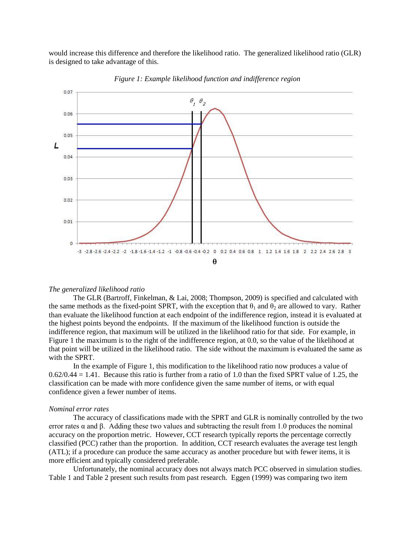would increase this difference and therefore the likelihood ratio. The generalized likelihood ratio (GLR) is designed to take advantage of this.



*Figure 1: Example likelihood function and indifference region*

#### *The generalized likelihood ratio*

The GLR (Bartroff, Finkelman, & Lai, 2008; Thompson, 2009) is specified and calculated with the same methods as the fixed-point SPRT, with the exception that  $\theta_1$  and  $\theta_2$  are allowed to vary. Rather than evaluate the likelihood function at each endpoint of the indifference region, instead it is evaluated at the highest points beyond the endpoints. If the maximum of the likelihood function is outside the indifference region, that maximum will be utilized in the likelihood ratio for that side. For example, in Figure 1 the maximum is to the right of the indifference region, at 0.0, so the value of the likelihood at that point will be utilized in the likelihood ratio. The side without the maximum is evaluated the same as with the SPRT.

In the example of Figure 1, this modification to the likelihood ratio now produces a value of  $0.62/0.44 = 1.41$ . Because this ratio is further from a ratio of 1.0 than the fixed SPRT value of 1.25, the classification can be made with more confidence given the same number of items, or with equal confidence given a fewer number of items.

### *Nominal error rates*

The accuracy of classifications made with the SPRT and GLR is nominally controlled by the two error rates  $\alpha$  and  $\beta$ . Adding these two values and subtracting the result from 1.0 produces the nominal accuracy on the proportion metric. However, CCT research typically reports the percentage correctly classified (PCC) rather than the proportion. In addition, CCT research evaluates the average test length (ATL); if a procedure can produce the same accuracy as another procedure but with fewer items, it is more efficient and typically considered preferable.

Unfortunately, the nominal accuracy does not always match PCC observed in simulation studies. Table 1 and Table 2 present such results from past research. Eggen (1999) was comparing two item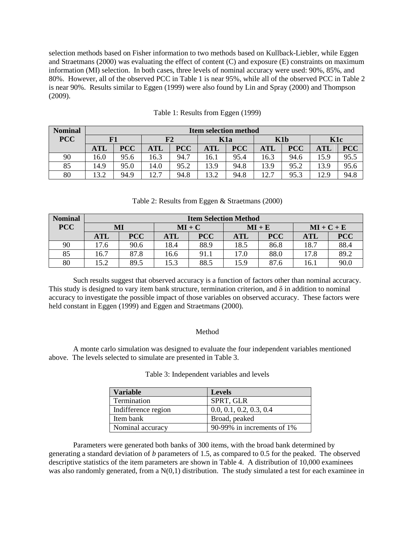selection methods based on Fisher information to two methods based on Kullback-Liebler, while Eggen and Straetmans (2000) was evaluating the effect of content (C) and exposure (E) constraints on maximum information (MI) selection. In both cases, three levels of nominal accuracy were used: 90%, 85%, and 80%. However, all of the observed PCC in Table 1 is near 95%, while all of the observed PCC in Table 2 is near 90%. Results similar to Eggen (1999) were also found by Lin and Spray (2000) and Thompson (2009).

| <b>Nominal</b> | <b>Item selection method</b> |            |           |            |           |            |            |            |           |            |
|----------------|------------------------------|------------|-----------|------------|-----------|------------|------------|------------|-----------|------------|
| <b>PCC</b>     |                              |            | F2<br>K1a |            | K1b       |            | K1c        |            |           |            |
|                | <b>ATL</b>                   | <b>PCC</b> | ATL       | <b>PCC</b> | $\bf ATL$ | <b>PCC</b> | <b>ATL</b> | <b>PCC</b> | $\bf ATL$ | <b>PCC</b> |
| 90             | 16.0                         | 95.6       | 16.3      | 94.7       | 16.1      | 95.4       | 16.3       | 94.6       | 15.9      | 95.5       |
| 85             | 14.9                         | 95.0       | 14.0      | 95.2       | 13.9      | 94.8       | 13.9       | 95.2       | 13.9      | 95.6       |
| 80             | 13.2                         | 94.9       | 12.7      | 94.8       | 13.2      | 94.8       | 12.7       | 95.3       | 12.9      | 94.8       |

|  |  | Table 1: Results from Eggen (1999) |  |  |  |
|--|--|------------------------------------|--|--|--|
|--|--|------------------------------------|--|--|--|

# Table 2: Results from Eggen & Straetmans (2000)

| <b>Nominal</b> | <b>Item Selection Method</b> |            |          |            |            |            |              |            |
|----------------|------------------------------|------------|----------|------------|------------|------------|--------------|------------|
| <b>PCC</b>     |                              | MI         | $MI + C$ |            | $MI + E$   |            | $MI + C + E$ |            |
|                | $\bf ATL$                    | <b>PCC</b> | ATL      | <b>PCC</b> | <b>ATL</b> | <b>PCC</b> | <b>ATL</b>   | <b>PCC</b> |
| 90             | 17.6                         | 90.6       | 18.4     | 88.9       | 18.5       | 86.8       | 18.7         | 88.4       |
| 85             | 16.7                         | 87.8       | 16.6     | 91.i       | 17.0       | 88.0       | 17.8         | 89.2       |
| 80             | 15.2                         | 89.5       | 15.3     | 88.5       | 15.9       | 87.6       | 16.1         | 90.0       |

Such results suggest that observed accuracy is a function of factors other than nominal accuracy. This study is designed to vary item bank structure, termination criterion, and  $\delta$  in addition to nominal accuracy to investigate the possible impact of those variables on observed accuracy. These factors were held constant in Eggen (1999) and Eggen and Straetmans (2000).

### Method

A monte carlo simulation was designed to evaluate the four independent variables mentioned above. The levels selected to simulate are presented in Table 3.

| <b>Variable</b>     | <b>Levels</b>              |
|---------------------|----------------------------|
| Termination         | SPRT, GLR                  |
| Indifference region | 0.0, 0.1, 0.2, 0.3, 0.4    |
| Item bank           | Broad, peaked              |
| Nominal accuracy    | 90-99% in increments of 1% |

Table 3: Independent variables and levels

Parameters were generated both banks of 300 items, with the broad bank determined by generating a standard deviation of *b* parameters of 1.5, as compared to 0.5 for the peaked. The observed descriptive statistics of the item parameters are shown in Table 4. A distribution of 10,000 examinees was also randomly generated, from a  $N(0,1)$  distribution. The study simulated a test for each examinee in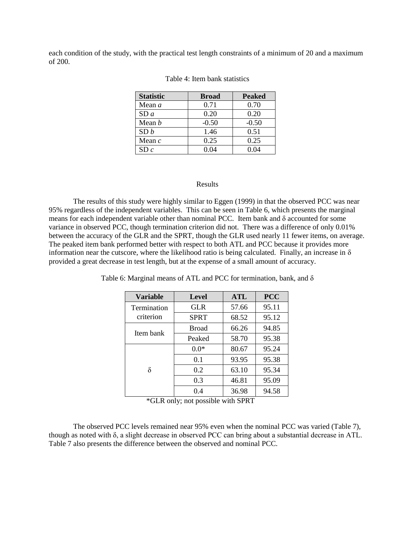each condition of the study, with the practical test length constraints of a minimum of 20 and a maximum of 200.

| <b>Statistic</b> | <b>Broad</b> | <b>Peaked</b> |
|------------------|--------------|---------------|
| Mean $a$         | 0.71         | 0.70          |
| SDa              | 0.20         | 0.20          |
| Mean $b$         | $-0.50$      | $-0.50$       |
| SD b             | 1.46         | 0.51          |
| Mean $c$         | 0.25         | 0.25          |
| SDc              | 0 04         | 0 04          |

### Table 4: Item bank statistics

### Results

The results of this study were highly similar to Eggen (1999) in that the observed PCC was near 95% regardless of the independent variables. This can be seen in Table 6, which presents the marginal means for each independent variable other than nominal PCC. Item bank and  $\delta$  accounted for some variance in observed PCC, though termination criterion did not. There was a difference of only 0.01% between the accuracy of the GLR and the SPRT, though the GLR used nearly 11 fewer items, on average. The peaked item bank performed better with respect to both ATL and PCC because it provides more information near the cutscore, where the likelihood ratio is being calculated. Finally, an increase in  $\delta$ provided a great decrease in test length, but at the expense of a small amount of accuracy.

| <b>Variable</b> | <b>Level</b> | <b>ATL</b> | <b>PCC</b> |
|-----------------|--------------|------------|------------|
| Termination     | <b>GLR</b>   | 57.66      | 95.11      |
| criterion       | <b>SPRT</b>  | 68.52      | 95.12      |
| Item bank       | <b>Broad</b> | 66.26      | 94.85      |
|                 | Peaked       | 58.70      | 95.38      |
|                 | $0.0*$       | 80.67      | 95.24      |
|                 | 0.1          | 93.95      | 95.38      |
| δ               | 0.2          | 63.10      | 95.34      |
|                 | 0.3          | 46.81      | 95.09      |
|                 | 0.4          | 36.98      | 94.58      |

Table 6: Marginal means of ATL and PCC for termination, bank, and  $\delta$ 

\*GLR only; not possible with SPRT

The observed PCC levels remained near 95% even when the nominal PCC was varied (Table 7), though as noted with δ, a slight decrease in observed PCC can bring about a substantial decrease in ATL. Table 7 also presents the difference between the observed and nominal PCC.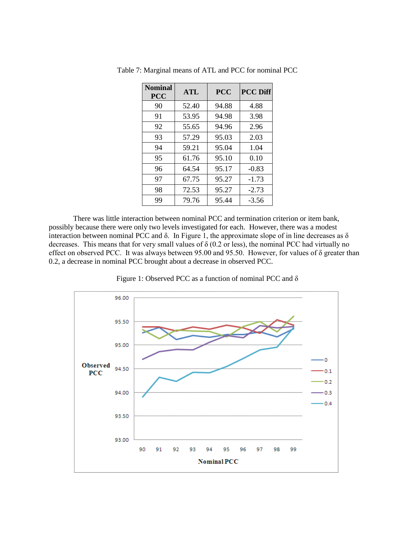| <b>Nominal</b><br><b>PCC</b> | ATL   | <b>PCC</b> | <b>PCC Diff</b> |
|------------------------------|-------|------------|-----------------|
| 90                           | 52.40 | 94.88      | 4.88            |
| 91                           | 53.95 | 94.98      | 3.98            |
| 92                           | 55.65 | 94.96      | 2.96            |
| 93                           | 57.29 | 95.03      | 2.03            |
| 94                           | 59.21 | 95.04      | 1.04            |
| 95                           | 61.76 | 95.10      | 0.10            |
| 96                           | 64.54 | 95.17      | $-0.83$         |
| 97                           | 67.75 | 95.27      | $-1.73$         |
| 98                           | 72.53 | 95.27      | $-2.73$         |
| 99                           | 79.76 | 95.44      | $-3.56$         |

Table 7: Marginal means of ATL and PCC for nominal PCC

There was little interaction between nominal PCC and termination criterion or item bank, possibly because there were only two levels investigated for each. However, there was a modest interaction between nominal PCC and  $\delta$ . In Figure 1, the approximate slope of in line decreases as  $\delta$ decreases. This means that for very small values of δ (0.2 or less), the nominal PCC had virtually no effect on observed PCC. It was always between 95.00 and 95.50. However, for values of δ greater than 0.2, a decrease in nominal PCC brought about a decrease in observed PCC.



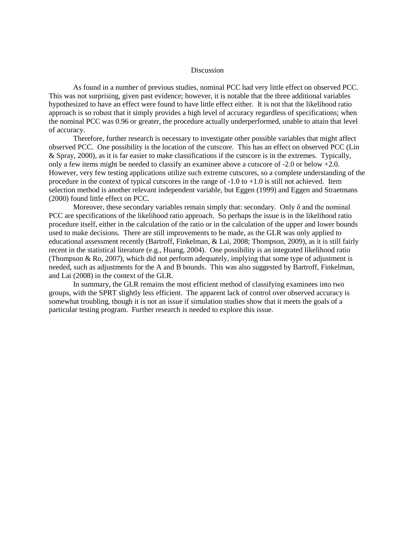### Discussion

As found in a number of previous studies, nominal PCC had very little effect on observed PCC. This was not surprising, given past evidence; however, it is notable that the three additional variables hypothesized to have an effect were found to have little effect either. It is not that the likelihood ratio approach is so robust that it simply provides a high level of accuracy regardless of specifications; when the nominal PCC was 0.96 or greater, the procedure actually underperformed, unable to attain that level of accuracy.

Therefore, further research is necessary to investigate other possible variables that might affect observed PCC. One possibility is the location of the cutscore. This has an effect on observed PCC (Lin & Spray, 2000), as it is far easier to make classifications if the cutscore is in the extremes. Typically, only a few items might be needed to classify an examinee above a cutscore of -2.0 or below +2.0. However, very few testing applications utilize such extreme cutscores, so a complete understanding of the procedure in the context of typical cutscores in the range of  $-1.0$  to  $+1.0$  is still not achieved. Item selection method is another relevant independent variable, but Eggen (1999) and Eggen and Straetmans (2000) found little effect on PCC.

Moreover, these secondary variables remain simply that: secondary. Only  $\delta$  and the nominal PCC are specifications of the likelihood ratio approach. So perhaps the issue is in the likelihood ratio procedure itself, either in the calculation of the ratio or in the calculation of the upper and lower bounds used to make decisions. There are still improvements to be made, as the GLR was only applied to educational assessment recently (Bartroff, Finkelman, & Lai, 2008; Thompson, 2009), as it is still fairly recent in the statistical literature (e.g., Huang, 2004). One possibility is an integrated likelihood ratio (Thompson & Ro, 2007), which did not perform adequately, implying that some type of adjustment is needed, such as adjustments for the A and B bounds. This was also suggested by Bartroff, Finkelman, and Lai (2008) in the context of the GLR.

In summary, the GLR remains the most efficient method of classifying examinees into two groups, with the SPRT slightly less efficient. The apparent lack of control over observed accuracy is somewhat troubling, though it is not an issue if simulation studies show that it meets the goals of a particular testing program. Further research is needed to explore this issue.